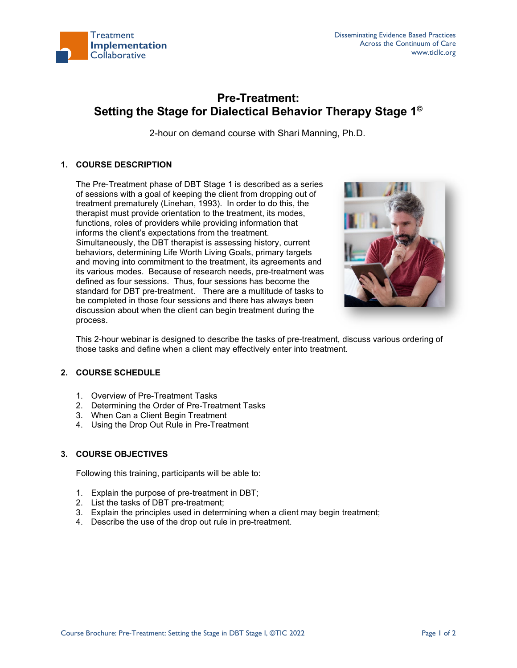

# **Pre-Treatment: Setting the Stage for Dialectical Behavior Therapy Stage 1©**

2-hour on demand course with Shari Manning, Ph.D.

# **1. COURSE DESCRIPTION**

The Pre-Treatment phase of DBT Stage 1 is described as a series of sessions with a goal of keeping the client from dropping out of treatment prematurely (Linehan, 1993). In order to do this, the therapist must provide orientation to the treatment, its modes, functions, roles of providers while providing information that informs the client's expectations from the treatment. Simultaneously, the DBT therapist is assessing history, current behaviors, determining Life Worth Living Goals, primary targets and moving into commitment to the treatment, its agreements and its various modes. Because of research needs, pre-treatment was defined as four sessions. Thus, four sessions has become the standard for DBT pre-treatment. There are a multitude of tasks to be completed in those four sessions and there has always been discussion about when the client can begin treatment during the process.



This 2-hour webinar is designed to describe the tasks of pre-treatment, discuss various ordering of those tasks and define when a client may effectively enter into treatment.

### **2. COURSE SCHEDULE**

- 1. Overview of Pre-Treatment Tasks
- 2. Determining the Order of Pre-Treatment Tasks
- 3. When Can a Client Begin Treatment
- 4. Using the Drop Out Rule in Pre-Treatment

## **3. COURSE OBJECTIVES**

Following this training, participants will be able to:

- 1. Explain the purpose of pre-treatment in DBT;
- 2. List the tasks of DBT pre-treatment;
- 3. Explain the principles used in determining when a client may begin treatment;
- 4. Describe the use of the drop out rule in pre-treatment.